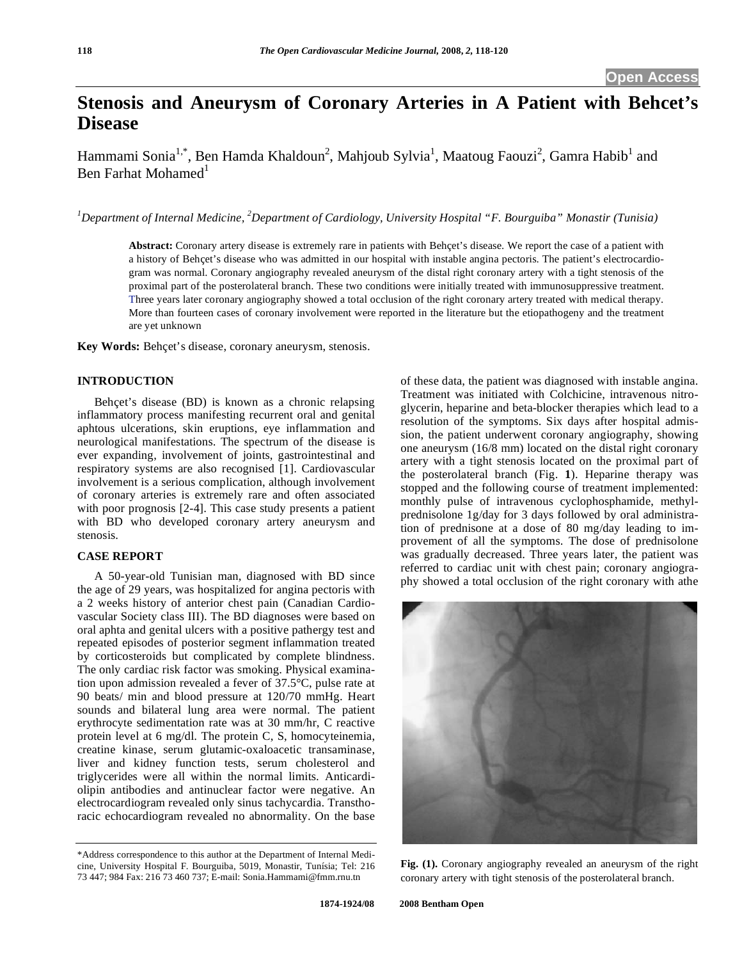# **Stenosis and Aneurysm of Coronary Arteries in A Patient with Behcet's Disease**

Hammami Sonia<sup>1,\*</sup>, Ben Hamda Khaldoun<sup>2</sup>, Mahjoub Sylvia<sup>1</sup>, Maatoug Faouzi<sup>2</sup>, Gamra Habib<sup>1</sup> and Ben Farhat Mohamed<sup>1</sup>

<sup>1</sup>Department of Internal Medicine, <sup>2</sup>Department of Cardiology, University Hospital "F. Bourguiba" Monastir (Tunisia)

**Abstract:** Coronary artery disease is extremely rare in patients with Behçet's disease. We report the case of a patient with a history of Behçet's disease who was admitted in our hospital with instable angina pectoris. The patient's electrocardiogram was normal. Coronary angiography revealed aneurysm of the distal right coronary artery with a tight stenosis of the proximal part of the posterolateral branch. These two conditions were initially treated with immunosuppressive treatment. Three years later coronary angiography showed a total occlusion of the right coronary artery treated with medical therapy. More than fourteen cases of coronary involvement were reported in the literature but the etiopathogeny and the treatment are yet unknown

**Key Words:** Behçet's disease, coronary aneurysm, stenosis.

## **INTRODUCTION**

 Behçet's disease (BD) is known as a chronic relapsing inflammatory process manifesting recurrent oral and genital aphtous ulcerations, skin eruptions, eye inflammation and neurological manifestations. The spectrum of the disease is ever expanding, involvement of joints, gastrointestinal and respiratory systems are also recognised [1]. Cardiovascular involvement is a serious complication, although involvement of coronary arteries is extremely rare and often associated with poor prognosis [2-4]. This case study presents a patient with BD who developed coronary artery aneurysm and stenosis.

#### **CASE REPORT**

 A 50-year-old Tunisian man, diagnosed with BD since the age of 29 years, was hospitalized for angina pectoris with a 2 weeks history of anterior chest pain (Canadian Cardiovascular Society class III). The BD diagnoses were based on oral aphta and genital ulcers with a positive pathergy test and repeated episodes of posterior segment inflammation treated by corticosteroids but complicated by complete blindness. The only cardiac risk factor was smoking. Physical examination upon admission revealed a fever of 37.5°C, pulse rate at 90 beats/ min and blood pressure at 120/70 mmHg. Heart sounds and bilateral lung area were normal. The patient erythrocyte sedimentation rate was at 30 mm/hr, C reactive protein level at 6 mg/dl. The protein C, S, homocyteinemia, creatine kinase, serum glutamic-oxaloacetic transaminase, liver and kidney function tests, serum cholesterol and triglycerides were all within the normal limits. Anticardiolipin antibodies and antinuclear factor were negative. An electrocardiogram revealed only sinus tachycardia. Transthoracic echocardiogram revealed no abnormality. On the base

of these data, the patient was diagnosed with instable angina. Treatment was initiated with Colchicine, intravenous nitroglycerin, heparine and beta-blocker therapies which lead to a resolution of the symptoms. Six days after hospital admission, the patient underwent coronary angiography, showing one aneurysm (16/8 mm) located on the distal right coronary artery with a tight stenosis located on the proximal part of the posterolateral branch (Fig. **1**). Heparine therapy was stopped and the following course of treatment implemented: monthly pulse of intravenous cyclophosphamide, methylprednisolone 1g/day for 3 days followed by oral administration of prednisone at a dose of 80 mg/day leading to improvement of all the symptoms. The dose of prednisolone was gradually decreased. Three years later, the patient was referred to cardiac unit with chest pain; coronary angiography showed a total occlusion of the right coronary with athe



**Fig. (1).** Coronary angiography revealed an aneurysm of the right coronary artery with tight stenosis of the posterolateral branch.

<sup>\*</sup>Address correspondence to this author at the Department of Internal Medicine, University Hospital F. Bourguiba, 5019, Monastir, Tunísia; Tel: 216 73 447; 984 Fax: 216 73 460 737; E-mail: Sonia.Hammami@fmm.rnu.tn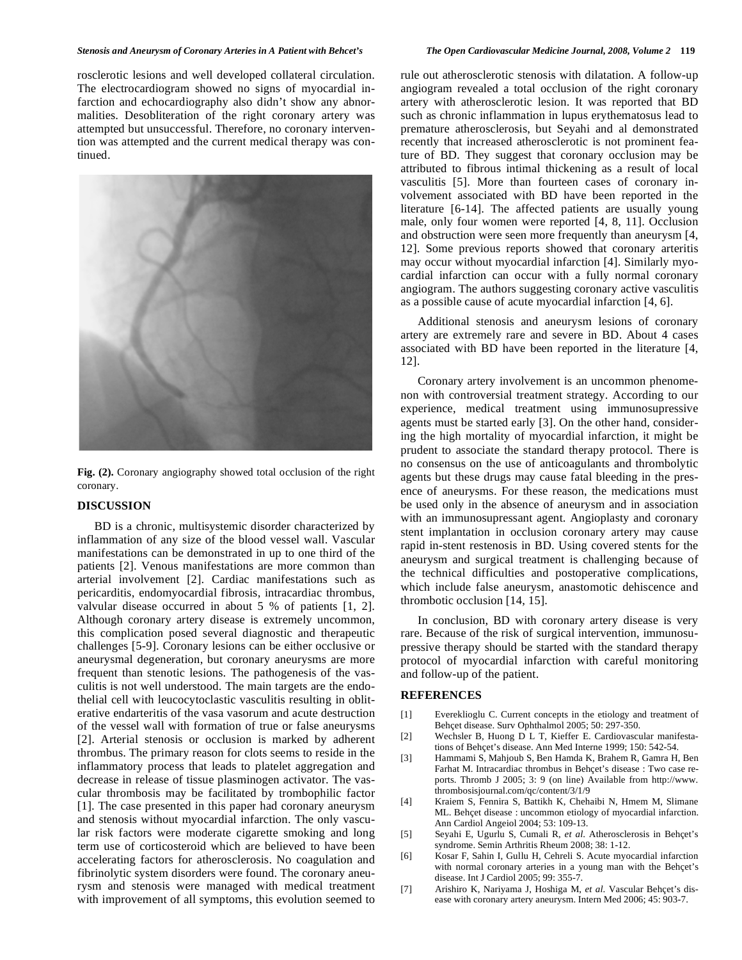#### *Stenosis and Aneurysm of Coronary Arteries in A Patient with Behcet's The Open Cardiovascular Medicine Journal, 2008, Volume 2* **119**

rosclerotic lesions and well developed collateral circulation. The electrocardiogram showed no signs of myocardial infarction and echocardiography also didn't show any abnormalities. Desobliteration of the right coronary artery was attempted but unsuccessful. Therefore, no coronary intervention was attempted and the current medical therapy was continued.



**Fig. (2).** Coronary angiography showed total occlusion of the right coronary.

### **DISCUSSION**

 BD is a chronic, multisystemic disorder characterized by inflammation of any size of the blood vessel wall. Vascular manifestations can be demonstrated in up to one third of the patients [2]. Venous manifestations are more common than arterial involvement [2]. Cardiac manifestations such as pericarditis, endomyocardial fibrosis, intracardiac thrombus, valvular disease occurred in about 5 % of patients [1, 2]. Although coronary artery disease is extremely uncommon, this complication posed several diagnostic and therapeutic challenges [5-9]. Coronary lesions can be either occlusive or aneurysmal degeneration, but coronary aneurysms are more frequent than stenotic lesions. The pathogenesis of the vasculitis is not well understood. The main targets are the endothelial cell with leucocytoclastic vasculitis resulting in obliterative endarteritis of the vasa vasorum and acute destruction of the vessel wall with formation of true or false aneurysms [2]. Arterial stenosis or occlusion is marked by adherent thrombus. The primary reason for clots seems to reside in the inflammatory process that leads to platelet aggregation and decrease in release of tissue plasminogen activator. The vascular thrombosis may be facilitated by trombophilic factor [1]. The case presented in this paper had coronary aneurysm and stenosis without myocardial infarction. The only vascular risk factors were moderate cigarette smoking and long term use of corticosteroid which are believed to have been accelerating factors for atherosclerosis. No coagulation and fibrinolytic system disorders were found. The coronary aneurysm and stenosis were managed with medical treatment with improvement of all symptoms, this evolution seemed to

rule out atherosclerotic stenosis with dilatation. A follow-up angiogram revealed a total occlusion of the right coronary artery with atherosclerotic lesion. It was reported that BD such as chronic inflammation in lupus erythematosus lead to premature atherosclerosis, but Seyahi and al demonstrated recently that increased atherosclerotic is not prominent feature of BD. They suggest that coronary occlusion may be attributed to fibrous intimal thickening as a result of local vasculitis [5]. More than fourteen cases of coronary involvement associated with BD have been reported in the literature [6-14]. The affected patients are usually young male, only four women were reported [4, 8, 11]. Occlusion and obstruction were seen more frequently than aneurysm [4, 12]. Some previous reports showed that coronary arteritis may occur without myocardial infarction [4]. Similarly myocardial infarction can occur with a fully normal coronary angiogram. The authors suggesting coronary active vasculitis as a possible cause of acute myocardial infarction [4, 6].

 Additional stenosis and aneurysm lesions of coronary artery are extremely rare and severe in BD. About 4 cases associated with BD have been reported in the literature [4, 12].

 Coronary artery involvement is an uncommon phenomenon with controversial treatment strategy. According to our experience, medical treatment using immunosupressive agents must be started early [3]. On the other hand, considering the high mortality of myocardial infarction, it might be prudent to associate the standard therapy protocol. There is no consensus on the use of anticoagulants and thrombolytic agents but these drugs may cause fatal bleeding in the presence of aneurysms. For these reason, the medications must be used only in the absence of aneurysm and in association with an immunosupressant agent. Angioplasty and coronary stent implantation in occlusion coronary artery may cause rapid in-stent restenosis in BD. Using covered stents for the aneurysm and surgical treatment is challenging because of the technical difficulties and postoperative complications, which include false aneurysm, anastomotic dehiscence and thrombotic occlusion [14, 15].

 In conclusion, BD with coronary artery disease is very rare. Because of the risk of surgical intervention, immunosupressive therapy should be started with the standard therapy protocol of myocardial infarction with careful monitoring and follow-up of the patient.

#### **REFERENCES**

- [1] Evereklioglu C. Current concepts in the etiology and treatment of Behçet disease. Surv Ophthalmol 2005; 50: 297-350.
- [2] Wechsler B, Huong D L T, Kieffer E. Cardiovascular manifestations of Behçet's disease. Ann Med Interne 1999; 150: 542-54.
- [3] Hammami S, Mahjoub S, Ben Hamda K, Brahem R, Gamra H, Ben Farhat M. Intracardiac thrombus in Behçet's disease : Two case reports. Thromb J 2005; 3: 9 (on line) Available from http://www. thrombosisjournal.com/qc/content/3/1/9
- [4] Kraiem S, Fennira S, Battikh K, Chehaibi N, Hmem M, Slimane ML. Behçet disease : uncommon etiology of myocardial infarction. Ann Cardiol Angeiol 2004; 53: 109-13.
- [5] Seyahi E, Ugurlu S, Cumali R, *et al*. Atherosclerosis in Behçet's syndrome. Semin Arthritis Rheum 2008; 38: 1-12.
- [6] Kosar F, Sahin I, Gullu H, Cehreli S. Acute myocardial infarction with normal coronary arteries in a young man with the Behçet's disease. Int J Cardiol 2005; 99: 355-7.
- [7] Arishiro K, Nariyama J, Hoshiga M, *et al*. Vascular Behçet's disease with coronary artery aneurysm. Intern Med 2006; 45: 903-7.